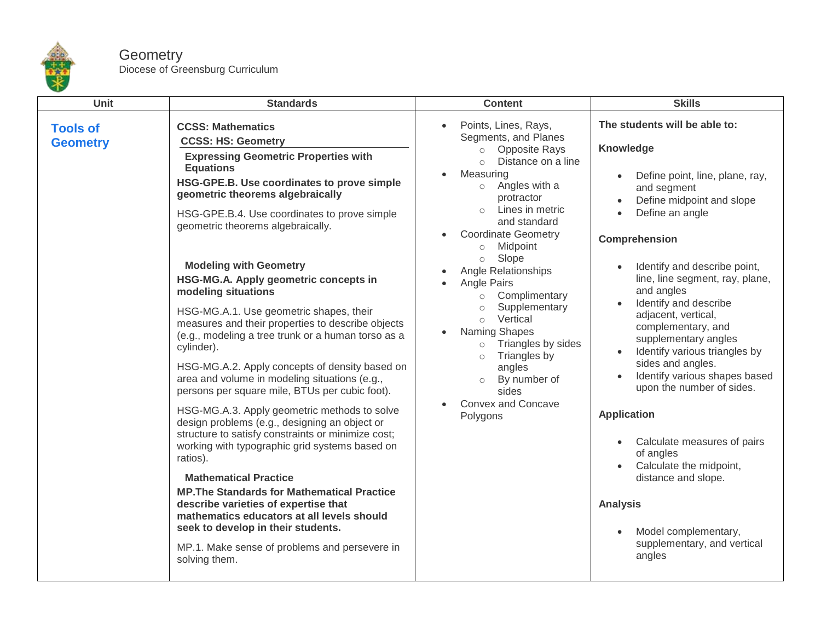

## **Geometry** Diocese of Greensburg Curriculum

| Unit                               | <b>Standards</b>                                                                                                                                                                                                                                                                                                                                                                                                                                                                                                                                                                                                                                                                                                                                                                                                                                                                                                                                                                                                                                                                                                                                                                                                                   | <b>Content</b>                                                                                                                                                                                                                                                                                                                                                                                                                                                                                                                                                                                                                                          | <b>Skills</b>                                                                                                                                                                                                                                                                                                                                                                                                                                                                                                                                                                                                                                                                                                                                          |
|------------------------------------|------------------------------------------------------------------------------------------------------------------------------------------------------------------------------------------------------------------------------------------------------------------------------------------------------------------------------------------------------------------------------------------------------------------------------------------------------------------------------------------------------------------------------------------------------------------------------------------------------------------------------------------------------------------------------------------------------------------------------------------------------------------------------------------------------------------------------------------------------------------------------------------------------------------------------------------------------------------------------------------------------------------------------------------------------------------------------------------------------------------------------------------------------------------------------------------------------------------------------------|---------------------------------------------------------------------------------------------------------------------------------------------------------------------------------------------------------------------------------------------------------------------------------------------------------------------------------------------------------------------------------------------------------------------------------------------------------------------------------------------------------------------------------------------------------------------------------------------------------------------------------------------------------|--------------------------------------------------------------------------------------------------------------------------------------------------------------------------------------------------------------------------------------------------------------------------------------------------------------------------------------------------------------------------------------------------------------------------------------------------------------------------------------------------------------------------------------------------------------------------------------------------------------------------------------------------------------------------------------------------------------------------------------------------------|
| <b>Tools of</b><br><b>Geometry</b> | <b>CCSS: Mathematics</b><br><b>CCSS: HS: Geometry</b><br><b>Expressing Geometric Properties with</b><br><b>Equations</b><br>HSG-GPE.B. Use coordinates to prove simple<br>geometric theorems algebraically<br>HSG-GPE.B.4. Use coordinates to prove simple<br>geometric theorems algebraically.<br><b>Modeling with Geometry</b><br>HSG-MG.A. Apply geometric concepts in<br>modeling situations<br>HSG-MG.A.1. Use geometric shapes, their<br>measures and their properties to describe objects<br>(e.g., modeling a tree trunk or a human torso as a<br>cylinder).<br>HSG-MG.A.2. Apply concepts of density based on<br>area and volume in modeling situations (e.g.,<br>persons per square mile, BTUs per cubic foot).<br>HSG-MG.A.3. Apply geometric methods to solve<br>design problems (e.g., designing an object or<br>structure to satisfy constraints or minimize cost;<br>working with typographic grid systems based on<br>ratios).<br><b>Mathematical Practice</b><br><b>MP. The Standards for Mathematical Practice</b><br>describe varieties of expertise that<br>mathematics educators at all levels should<br>seek to develop in their students.<br>MP.1. Make sense of problems and persevere in<br>solving them. | Points, Lines, Rays,<br>$\bullet$<br>Segments, and Planes<br><b>Opposite Rays</b><br>$\circ$<br>Distance on a line<br>$\bigcap$<br>Measuring<br>$\bullet$<br>$\circ$ Angles with a<br>protractor<br>Lines in metric<br>$\circ$<br>and standard<br><b>Coordinate Geometry</b><br>$\bullet$<br>Midpoint<br>$\circ$<br>Slope<br>$\circ$<br>Angle Relationships<br>Angle Pairs<br>Complimentary<br>$\circ$<br>Supplementary<br>$\circ$<br>Vertical<br>$\circ$<br>Naming Shapes<br>$\bullet$<br>Triangles by sides<br>$\circ$<br>Triangles by<br>$\circ$<br>angles<br>By number of<br>$\circ$<br>sides<br><b>Convex and Concave</b><br>$\bullet$<br>Polygons | The students will be able to:<br>Knowledge<br>Define point, line, plane, ray,<br>$\bullet$<br>and segment<br>Define midpoint and slope<br>$\bullet$<br>Define an angle<br>Comprehension<br>Identify and describe point,<br>$\bullet$<br>line, line segment, ray, plane,<br>and angles<br>Identify and describe<br>$\bullet$<br>adjacent, vertical,<br>complementary, and<br>supplementary angles<br>Identify various triangles by<br>$\bullet$<br>sides and angles.<br>Identify various shapes based<br>$\bullet$<br>upon the number of sides.<br><b>Application</b><br>Calculate measures of pairs<br>of angles<br>Calculate the midpoint,<br>distance and slope.<br><b>Analysis</b><br>Model complementary,<br>supplementary, and vertical<br>angles |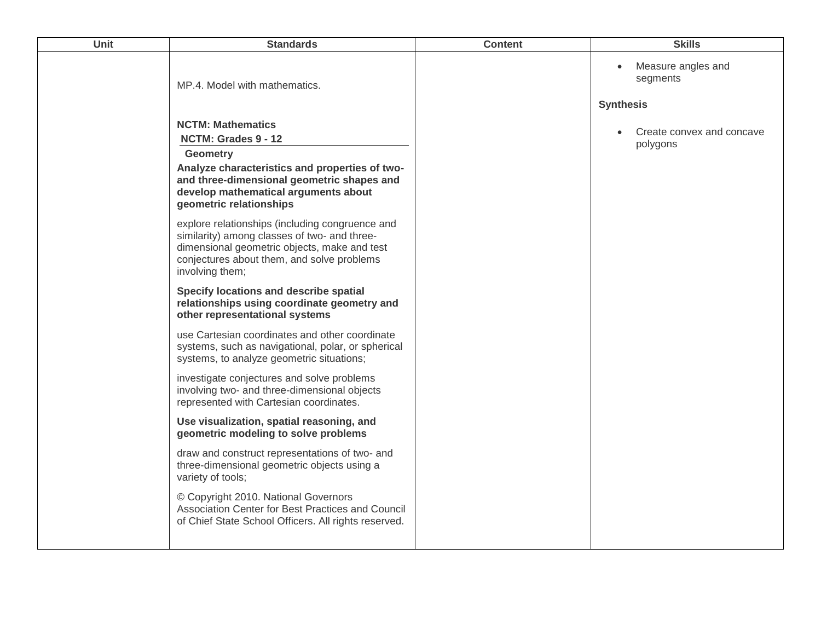| Unit | <b>Standards</b>                                                                                                                                                                                                                                                                                                                                                                                                                                          | <b>Content</b> | <b>Skills</b>                                                   |
|------|-----------------------------------------------------------------------------------------------------------------------------------------------------------------------------------------------------------------------------------------------------------------------------------------------------------------------------------------------------------------------------------------------------------------------------------------------------------|----------------|-----------------------------------------------------------------|
|      | MP.4. Model with mathematics.                                                                                                                                                                                                                                                                                                                                                                                                                             |                | Measure angles and<br>$\bullet$<br>segments<br><b>Synthesis</b> |
|      | <b>NCTM: Mathematics</b><br>NCTM: Grades 9 - 12<br><b>Geometry</b><br>Analyze characteristics and properties of two-<br>and three-dimensional geometric shapes and<br>develop mathematical arguments about<br>geometric relationships<br>explore relationships (including congruence and<br>similarity) among classes of two- and three-<br>dimensional geometric objects, make and test<br>conjectures about them, and solve problems<br>involving them; |                | Create convex and concave<br>polygons                           |
|      | Specify locations and describe spatial<br>relationships using coordinate geometry and<br>other representational systems                                                                                                                                                                                                                                                                                                                                   |                |                                                                 |
|      | use Cartesian coordinates and other coordinate<br>systems, such as navigational, polar, or spherical<br>systems, to analyze geometric situations;                                                                                                                                                                                                                                                                                                         |                |                                                                 |
|      | investigate conjectures and solve problems<br>involving two- and three-dimensional objects<br>represented with Cartesian coordinates.                                                                                                                                                                                                                                                                                                                     |                |                                                                 |
|      | Use visualization, spatial reasoning, and<br>geometric modeling to solve problems                                                                                                                                                                                                                                                                                                                                                                         |                |                                                                 |
|      | draw and construct representations of two- and<br>three-dimensional geometric objects using a<br>variety of tools;                                                                                                                                                                                                                                                                                                                                        |                |                                                                 |
|      | © Copyright 2010. National Governors<br>Association Center for Best Practices and Council<br>of Chief State School Officers. All rights reserved.                                                                                                                                                                                                                                                                                                         |                |                                                                 |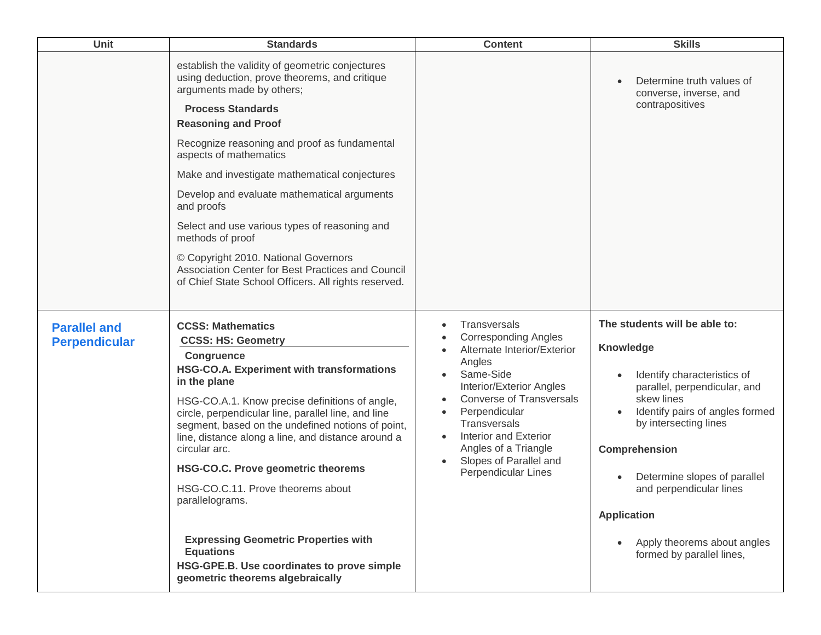| <b>Unit</b>                                 | <b>Standards</b>                                                                                                                                                                                                                                                                                                                                                                                                                                                                         | <b>Content</b>                                                                                                                                                                                                                                                                                                                                                                           | <b>Skills</b>                                                                                                                                                                                                                                                                                                                |
|---------------------------------------------|------------------------------------------------------------------------------------------------------------------------------------------------------------------------------------------------------------------------------------------------------------------------------------------------------------------------------------------------------------------------------------------------------------------------------------------------------------------------------------------|------------------------------------------------------------------------------------------------------------------------------------------------------------------------------------------------------------------------------------------------------------------------------------------------------------------------------------------------------------------------------------------|------------------------------------------------------------------------------------------------------------------------------------------------------------------------------------------------------------------------------------------------------------------------------------------------------------------------------|
|                                             | establish the validity of geometric conjectures<br>using deduction, prove theorems, and critique<br>arguments made by others;<br><b>Process Standards</b><br><b>Reasoning and Proof</b>                                                                                                                                                                                                                                                                                                  |                                                                                                                                                                                                                                                                                                                                                                                          | Determine truth values of<br>$\bullet$<br>converse, inverse, and<br>contrapositives                                                                                                                                                                                                                                          |
|                                             | Recognize reasoning and proof as fundamental<br>aspects of mathematics                                                                                                                                                                                                                                                                                                                                                                                                                   |                                                                                                                                                                                                                                                                                                                                                                                          |                                                                                                                                                                                                                                                                                                                              |
|                                             | Make and investigate mathematical conjectures                                                                                                                                                                                                                                                                                                                                                                                                                                            |                                                                                                                                                                                                                                                                                                                                                                                          |                                                                                                                                                                                                                                                                                                                              |
|                                             | Develop and evaluate mathematical arguments<br>and proofs                                                                                                                                                                                                                                                                                                                                                                                                                                |                                                                                                                                                                                                                                                                                                                                                                                          |                                                                                                                                                                                                                                                                                                                              |
|                                             | Select and use various types of reasoning and<br>methods of proof                                                                                                                                                                                                                                                                                                                                                                                                                        |                                                                                                                                                                                                                                                                                                                                                                                          |                                                                                                                                                                                                                                                                                                                              |
|                                             | © Copyright 2010. National Governors<br>Association Center for Best Practices and Council<br>of Chief State School Officers. All rights reserved.                                                                                                                                                                                                                                                                                                                                        |                                                                                                                                                                                                                                                                                                                                                                                          |                                                                                                                                                                                                                                                                                                                              |
| <b>Parallel and</b><br><b>Perpendicular</b> | <b>CCSS: Mathematics</b><br><b>CCSS: HS: Geometry</b><br><b>Congruence</b><br><b>HSG-CO.A. Experiment with transformations</b><br>in the plane<br>HSG-CO.A.1. Know precise definitions of angle,<br>circle, perpendicular line, parallel line, and line<br>segment, based on the undefined notions of point,<br>line, distance along a line, and distance around a<br>circular arc.<br><b>HSG-CO.C. Prove geometric theorems</b><br>HSG-CO.C.11. Prove theorems about<br>parallelograms. | Transversals<br>$\bullet$<br><b>Corresponding Angles</b><br>Alternate Interior/Exterior<br>$\bullet$<br>Angles<br>Same-Side<br>Interior/Exterior Angles<br><b>Converse of Transversals</b><br>$\bullet$<br>Perpendicular<br>$\bullet$<br>Transversals<br><b>Interior and Exterior</b><br>$\bullet$<br>Angles of a Triangle<br>Slopes of Parallel and<br>$\bullet$<br>Perpendicular Lines | The students will be able to:<br>Knowledge<br>Identify characteristics of<br>$\bullet$<br>parallel, perpendicular, and<br>skew lines<br>Identify pairs of angles formed<br>$\bullet$<br>by intersecting lines<br>Comprehension<br>Determine slopes of parallel<br>$\bullet$<br>and perpendicular lines<br><b>Application</b> |
|                                             | <b>Expressing Geometric Properties with</b><br><b>Equations</b><br>HSG-GPE.B. Use coordinates to prove simple<br>geometric theorems algebraically                                                                                                                                                                                                                                                                                                                                        |                                                                                                                                                                                                                                                                                                                                                                                          | Apply theorems about angles<br>$\bullet$<br>formed by parallel lines,                                                                                                                                                                                                                                                        |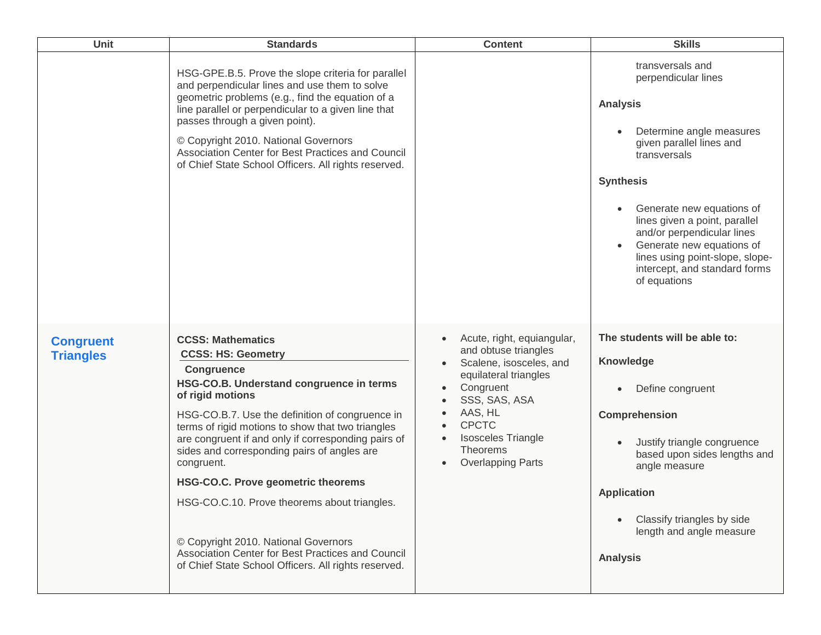| <b>Unit</b>                          | <b>Standards</b>                                                                                                                                                                                                                                                                                                                                                                                                                                                                                                                                                                                                         | <b>Content</b>                                                                                                                                                                                                                       | <b>Skills</b>                                                                                                                                                                                                                                                                                                                                                                    |
|--------------------------------------|--------------------------------------------------------------------------------------------------------------------------------------------------------------------------------------------------------------------------------------------------------------------------------------------------------------------------------------------------------------------------------------------------------------------------------------------------------------------------------------------------------------------------------------------------------------------------------------------------------------------------|--------------------------------------------------------------------------------------------------------------------------------------------------------------------------------------------------------------------------------------|----------------------------------------------------------------------------------------------------------------------------------------------------------------------------------------------------------------------------------------------------------------------------------------------------------------------------------------------------------------------------------|
|                                      | HSG-GPE.B.5. Prove the slope criteria for parallel<br>and perpendicular lines and use them to solve<br>geometric problems (e.g., find the equation of a<br>line parallel or perpendicular to a given line that<br>passes through a given point).<br>© Copyright 2010. National Governors<br>Association Center for Best Practices and Council<br>of Chief State School Officers. All rights reserved.                                                                                                                                                                                                                    |                                                                                                                                                                                                                                      | transversals and<br>perpendicular lines<br><b>Analysis</b><br>Determine angle measures<br>given parallel lines and<br>transversals<br><b>Synthesis</b><br>Generate new equations of<br>$\bullet$<br>lines given a point, parallel<br>and/or perpendicular lines<br>Generate new equations of<br>lines using point-slope, slope-<br>intercept, and standard forms<br>of equations |
| <b>Congruent</b><br><b>Triangles</b> | <b>CCSS: Mathematics</b><br><b>CCSS: HS: Geometry</b><br><b>Congruence</b><br>HSG-CO.B. Understand congruence in terms<br>of rigid motions<br>HSG-CO.B.7. Use the definition of congruence in<br>terms of rigid motions to show that two triangles<br>are congruent if and only if corresponding pairs of<br>sides and corresponding pairs of angles are<br>congruent.<br><b>HSG-CO.C. Prove geometric theorems</b><br>HSG-CO.C.10. Prove theorems about triangles.<br>© Copyright 2010. National Governors<br>Association Center for Best Practices and Council<br>of Chief State School Officers. All rights reserved. | Acute, right, equiangular,<br>and obtuse triangles<br>Scalene, isosceles, and<br>equilateral triangles<br>Congruent<br>SSS, SAS, ASA<br>AAS, HL<br><b>CPCTC</b><br><b>Isosceles Triangle</b><br>Theorems<br><b>Overlapping Parts</b> | The students will be able to:<br>Knowledge<br>Define congruent<br>Comprehension<br>Justify triangle congruence<br>$\bullet$<br>based upon sides lengths and<br>angle measure<br><b>Application</b><br>Classify triangles by side<br>length and angle measure<br><b>Analysis</b>                                                                                                  |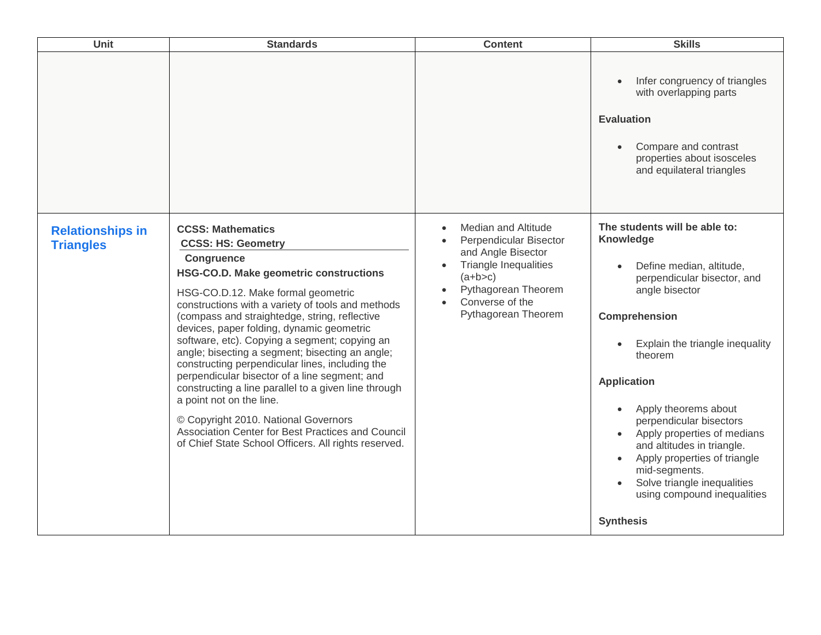| Unit                                        | <b>Standards</b>                                                                                                                                                                                                                                                                                                                                                                                                                                                                                                                                                                                                                                                                                                                                               | <b>Content</b>                                                                                                                                                                           | <b>Skills</b>                                                                                                                                                                                                                                                                                                                                                                                                                                                                             |
|---------------------------------------------|----------------------------------------------------------------------------------------------------------------------------------------------------------------------------------------------------------------------------------------------------------------------------------------------------------------------------------------------------------------------------------------------------------------------------------------------------------------------------------------------------------------------------------------------------------------------------------------------------------------------------------------------------------------------------------------------------------------------------------------------------------------|------------------------------------------------------------------------------------------------------------------------------------------------------------------------------------------|-------------------------------------------------------------------------------------------------------------------------------------------------------------------------------------------------------------------------------------------------------------------------------------------------------------------------------------------------------------------------------------------------------------------------------------------------------------------------------------------|
|                                             |                                                                                                                                                                                                                                                                                                                                                                                                                                                                                                                                                                                                                                                                                                                                                                |                                                                                                                                                                                          | Infer congruency of triangles<br>with overlapping parts<br><b>Evaluation</b><br>Compare and contrast<br>$\bullet$<br>properties about isosceles<br>and equilateral triangles                                                                                                                                                                                                                                                                                                              |
| <b>Relationships in</b><br><b>Triangles</b> | <b>CCSS: Mathematics</b><br><b>CCSS: HS: Geometry</b><br><b>Congruence</b><br>HSG-CO.D. Make geometric constructions<br>HSG-CO.D.12. Make formal geometric<br>constructions with a variety of tools and methods<br>(compass and straightedge, string, reflective<br>devices, paper folding, dynamic geometric<br>software, etc). Copying a segment; copying an<br>angle; bisecting a segment; bisecting an angle;<br>constructing perpendicular lines, including the<br>perpendicular bisector of a line segment; and<br>constructing a line parallel to a given line through<br>a point not on the line.<br>© Copyright 2010. National Governors<br>Association Center for Best Practices and Council<br>of Chief State School Officers. All rights reserved. | <b>Median and Altitude</b><br>Perpendicular Bisector<br>and Angle Bisector<br><b>Triangle Inequalities</b><br>$(a+b>c)$<br>Pythagorean Theorem<br>Converse of the<br>Pythagorean Theorem | The students will be able to:<br>Knowledge<br>Define median, altitude,<br>perpendicular bisector, and<br>angle bisector<br>Comprehension<br>Explain the triangle inequality<br>theorem<br><b>Application</b><br>Apply theorems about<br>perpendicular bisectors<br>Apply properties of medians<br>$\bullet$<br>and altitudes in triangle.<br>Apply properties of triangle<br>$\bullet$<br>mid-segments.<br>Solve triangle inequalities<br>using compound inequalities<br><b>Synthesis</b> |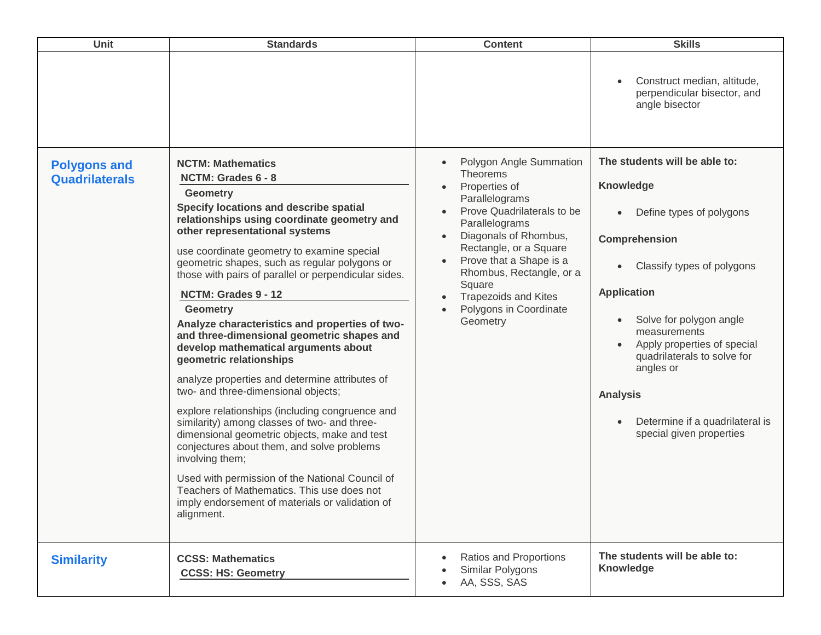| Unit                                         | <b>Standards</b>                                                                                                                                                                                                                                                                                                                                                                                                                                                                                                                                                                                                                                                                                                                                                                                                                                                                                                                                                                                                                                | <b>Content</b>                                                                                                                                                                                                                                                                                                         | <b>Skills</b>                                                                                                                                                                                                                                                                                                                                                                              |
|----------------------------------------------|-------------------------------------------------------------------------------------------------------------------------------------------------------------------------------------------------------------------------------------------------------------------------------------------------------------------------------------------------------------------------------------------------------------------------------------------------------------------------------------------------------------------------------------------------------------------------------------------------------------------------------------------------------------------------------------------------------------------------------------------------------------------------------------------------------------------------------------------------------------------------------------------------------------------------------------------------------------------------------------------------------------------------------------------------|------------------------------------------------------------------------------------------------------------------------------------------------------------------------------------------------------------------------------------------------------------------------------------------------------------------------|--------------------------------------------------------------------------------------------------------------------------------------------------------------------------------------------------------------------------------------------------------------------------------------------------------------------------------------------------------------------------------------------|
|                                              |                                                                                                                                                                                                                                                                                                                                                                                                                                                                                                                                                                                                                                                                                                                                                                                                                                                                                                                                                                                                                                                 |                                                                                                                                                                                                                                                                                                                        | Construct median, altitude,<br>$\bullet$<br>perpendicular bisector, and<br>angle bisector                                                                                                                                                                                                                                                                                                  |
| <b>Polygons and</b><br><b>Quadrilaterals</b> | <b>NCTM: Mathematics</b><br>NCTM: Grades 6 - 8<br><b>Geometry</b><br>Specify locations and describe spatial<br>relationships using coordinate geometry and<br>other representational systems<br>use coordinate geometry to examine special<br>geometric shapes, such as regular polygons or<br>those with pairs of parallel or perpendicular sides.<br>NCTM: Grades 9 - 12<br><b>Geometry</b><br>Analyze characteristics and properties of two-<br>and three-dimensional geometric shapes and<br>develop mathematical arguments about<br>geometric relationships<br>analyze properties and determine attributes of<br>two- and three-dimensional objects;<br>explore relationships (including congruence and<br>similarity) among classes of two- and three-<br>dimensional geometric objects, make and test<br>conjectures about them, and solve problems<br>involving them;<br>Used with permission of the National Council of<br>Teachers of Mathematics. This use does not<br>imply endorsement of materials or validation of<br>alignment. | Polygon Angle Summation<br><b>Theorems</b><br>Properties of<br>Parallelograms<br>Prove Quadrilaterals to be<br>Parallelograms<br>Diagonals of Rhombus,<br>Rectangle, or a Square<br>Prove that a Shape is a<br>Rhombus, Rectangle, or a<br>Square<br><b>Trapezoids and Kites</b><br>Polygons in Coordinate<br>Geometry | The students will be able to:<br>Knowledge<br>Define types of polygons<br>$\bullet$<br>Comprehension<br>Classify types of polygons<br>$\bullet$<br><b>Application</b><br>Solve for polygon angle<br>$\bullet$<br>measurements<br>Apply properties of special<br>quadrilaterals to solve for<br>angles or<br><b>Analysis</b><br>Determine if a quadrilateral is<br>special given properties |
| <b>Similarity</b>                            | <b>CCSS: Mathematics</b><br><b>CCSS: HS: Geometry</b>                                                                                                                                                                                                                                                                                                                                                                                                                                                                                                                                                                                                                                                                                                                                                                                                                                                                                                                                                                                           | Ratios and Proportions<br>Similar Polygons<br>AA, SSS, SAS                                                                                                                                                                                                                                                             | The students will be able to:<br><b>Knowledge</b>                                                                                                                                                                                                                                                                                                                                          |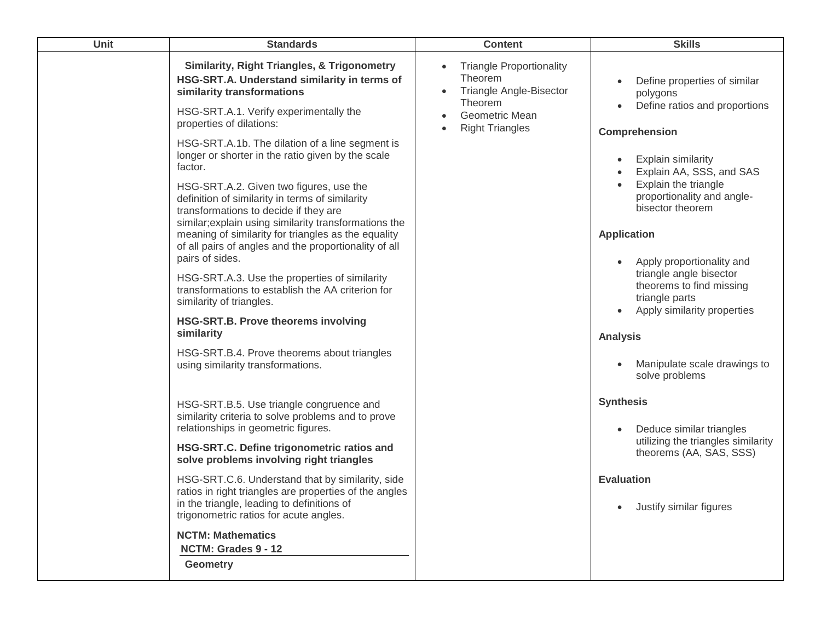| Unit | <b>Standards</b>                                                                                                                                                                                                                                                                                                                                                                                                                                                                                                                                                                                                                                                                                                                                                                                                                                        | <b>Content</b>                                                                                                                                          | <b>Skills</b>                                                                                                                                                                                                                                                                                                                                                                                                                                                          |
|------|---------------------------------------------------------------------------------------------------------------------------------------------------------------------------------------------------------------------------------------------------------------------------------------------------------------------------------------------------------------------------------------------------------------------------------------------------------------------------------------------------------------------------------------------------------------------------------------------------------------------------------------------------------------------------------------------------------------------------------------------------------------------------------------------------------------------------------------------------------|---------------------------------------------------------------------------------------------------------------------------------------------------------|------------------------------------------------------------------------------------------------------------------------------------------------------------------------------------------------------------------------------------------------------------------------------------------------------------------------------------------------------------------------------------------------------------------------------------------------------------------------|
|      | <b>Similarity, Right Triangles, &amp; Trigonometry</b><br>HSG-SRT.A. Understand similarity in terms of<br>similarity transformations<br>HSG-SRT.A.1. Verify experimentally the<br>properties of dilations:<br>HSG-SRT.A.1b. The dilation of a line segment is<br>longer or shorter in the ratio given by the scale<br>factor.<br>HSG-SRT.A.2. Given two figures, use the<br>definition of similarity in terms of similarity<br>transformations to decide if they are<br>similar; explain using similarity transformations the<br>meaning of similarity for triangles as the equality<br>of all pairs of angles and the proportionality of all<br>pairs of sides.<br>HSG-SRT.A.3. Use the properties of similarity<br>transformations to establish the AA criterion for<br>similarity of triangles.<br>HSG-SRT.B. Prove theorems involving<br>similarity | <b>Triangle Proportionality</b><br>$\bullet$<br>Theorem<br><b>Triangle Angle-Bisector</b><br>Theorem<br><b>Geometric Mean</b><br><b>Right Triangles</b> | Define properties of similar<br>$\bullet$<br>polygons<br>Define ratios and proportions<br>$\bullet$<br>Comprehension<br><b>Explain similarity</b><br>$\bullet$<br>Explain AA, SSS, and SAS<br>Explain the triangle<br>$\bullet$<br>proportionality and angle-<br>bisector theorem<br><b>Application</b><br>Apply proportionality and<br>$\bullet$<br>triangle angle bisector<br>theorems to find missing<br>triangle parts<br>Apply similarity properties<br>$\bullet$ |
|      | HSG-SRT.B.4. Prove theorems about triangles<br>using similarity transformations.                                                                                                                                                                                                                                                                                                                                                                                                                                                                                                                                                                                                                                                                                                                                                                        |                                                                                                                                                         | <b>Analysis</b><br>Manipulate scale drawings to<br>solve problems                                                                                                                                                                                                                                                                                                                                                                                                      |
|      | HSG-SRT.B.5. Use triangle congruence and<br>similarity criteria to solve problems and to prove<br>relationships in geometric figures.<br>HSG-SRT.C. Define trigonometric ratios and<br>solve problems involving right triangles<br>HSG-SRT.C.6. Understand that by similarity, side<br>ratios in right triangles are properties of the angles<br>in the triangle, leading to definitions of                                                                                                                                                                                                                                                                                                                                                                                                                                                             |                                                                                                                                                         | <b>Synthesis</b><br>Deduce similar triangles<br>$\bullet$<br>utilizing the triangles similarity<br>theorems (AA, SAS, SSS)<br><b>Evaluation</b><br>Justify similar figures<br>$\bullet$                                                                                                                                                                                                                                                                                |
|      | trigonometric ratios for acute angles.<br><b>NCTM: Mathematics</b><br>NCTM: Grades 9 - 12<br><b>Geometry</b>                                                                                                                                                                                                                                                                                                                                                                                                                                                                                                                                                                                                                                                                                                                                            |                                                                                                                                                         |                                                                                                                                                                                                                                                                                                                                                                                                                                                                        |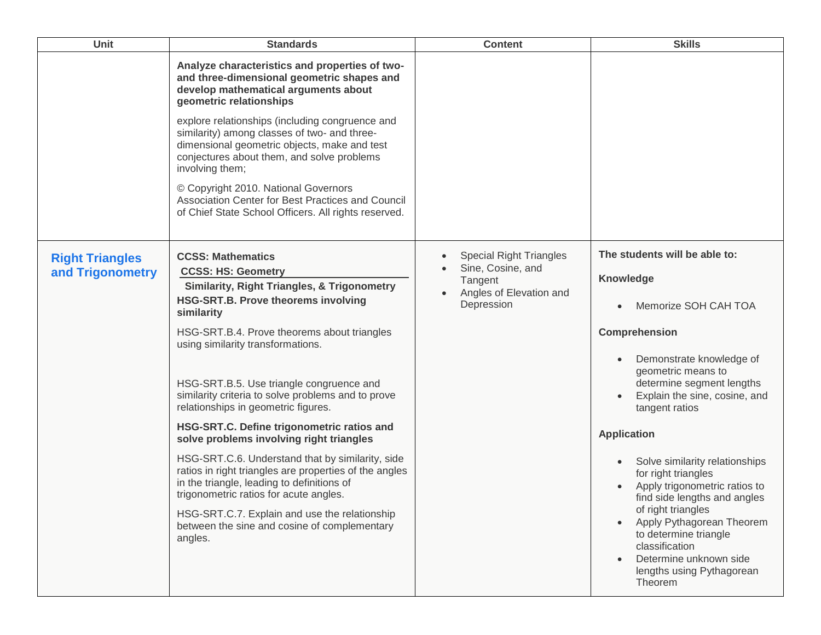| <b>Unit</b>                                | <b>Standards</b>                                                                                                                                                                                                 | <b>Content</b>                                      | <b>Skills</b>                                                                                                                                                             |
|--------------------------------------------|------------------------------------------------------------------------------------------------------------------------------------------------------------------------------------------------------------------|-----------------------------------------------------|---------------------------------------------------------------------------------------------------------------------------------------------------------------------------|
|                                            | Analyze characteristics and properties of two-<br>and three-dimensional geometric shapes and<br>develop mathematical arguments about<br>geometric relationships                                                  |                                                     |                                                                                                                                                                           |
|                                            | explore relationships (including congruence and<br>similarity) among classes of two- and three-<br>dimensional geometric objects, make and test<br>conjectures about them, and solve problems<br>involving them; |                                                     |                                                                                                                                                                           |
|                                            | © Copyright 2010. National Governors<br>Association Center for Best Practices and Council<br>of Chief State School Officers. All rights reserved.                                                                |                                                     |                                                                                                                                                                           |
| <b>Right Triangles</b><br>and Trigonometry | <b>CCSS: Mathematics</b><br><b>CCSS: HS: Geometry</b>                                                                                                                                                            | <b>Special Right Triangles</b><br>Sine, Cosine, and | The students will be able to:<br>Knowledge                                                                                                                                |
|                                            | <b>Similarity, Right Triangles, &amp; Trigonometry</b><br><b>HSG-SRT.B. Prove theorems involving</b><br>similarity                                                                                               | Tangent<br>Angles of Elevation and<br>Depression    | Memorize SOH CAH TOA<br>$\bullet$                                                                                                                                         |
|                                            | HSG-SRT.B.4. Prove theorems about triangles<br>using similarity transformations.                                                                                                                                 |                                                     | Comprehension                                                                                                                                                             |
|                                            | HSG-SRT.B.5. Use triangle congruence and<br>similarity criteria to solve problems and to prove<br>relationships in geometric figures.                                                                            |                                                     | Demonstrate knowledge of<br>geometric means to<br>determine segment lengths<br>Explain the sine, cosine, and<br>tangent ratios                                            |
|                                            | HSG-SRT.C. Define trigonometric ratios and<br>solve problems involving right triangles                                                                                                                           |                                                     | <b>Application</b>                                                                                                                                                        |
|                                            | HSG-SRT.C.6. Understand that by similarity, side<br>ratios in right triangles are properties of the angles<br>in the triangle, leading to definitions of<br>trigonometric ratios for acute angles.               |                                                     | Solve similarity relationships<br>$\bullet$<br>for right triangles<br>Apply trigonometric ratios to<br>$\bullet$<br>find side lengths and angles                          |
|                                            | HSG-SRT.C.7. Explain and use the relationship<br>between the sine and cosine of complementary<br>angles.                                                                                                         |                                                     | of right triangles<br>Apply Pythagorean Theorem<br>$\bullet$<br>to determine triangle<br>classification<br>Determine unknown side<br>lengths using Pythagorean<br>Theorem |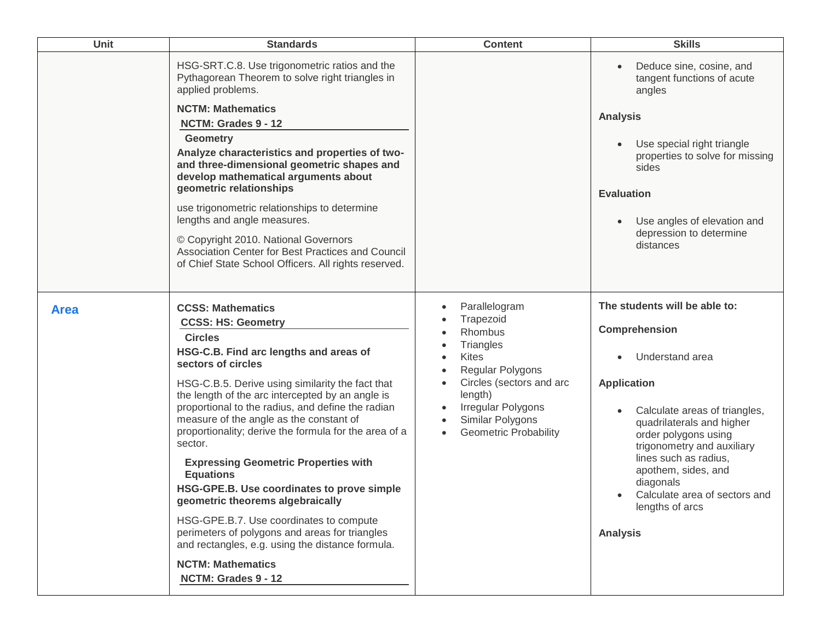| Unit        | <b>Standards</b>                                                                                                                                                                                                                                                                                                                                                                                                                                                                                                                                                                                                                                                                                                                                                             | <b>Content</b>                                                                                                                                                                                                                    | <b>Skills</b>                                                                                                                                                                                                                                                                                                                                                                    |
|-------------|------------------------------------------------------------------------------------------------------------------------------------------------------------------------------------------------------------------------------------------------------------------------------------------------------------------------------------------------------------------------------------------------------------------------------------------------------------------------------------------------------------------------------------------------------------------------------------------------------------------------------------------------------------------------------------------------------------------------------------------------------------------------------|-----------------------------------------------------------------------------------------------------------------------------------------------------------------------------------------------------------------------------------|----------------------------------------------------------------------------------------------------------------------------------------------------------------------------------------------------------------------------------------------------------------------------------------------------------------------------------------------------------------------------------|
|             | HSG-SRT.C.8. Use trigonometric ratios and the<br>Pythagorean Theorem to solve right triangles in<br>applied problems.<br><b>NCTM: Mathematics</b><br>NCTM: Grades 9 - 12<br><b>Geometry</b><br>Analyze characteristics and properties of two-<br>and three-dimensional geometric shapes and<br>develop mathematical arguments about<br>geometric relationships<br>use trigonometric relationships to determine<br>lengths and angle measures.<br>© Copyright 2010. National Governors<br>Association Center for Best Practices and Council<br>of Chief State School Officers. All rights reserved.                                                                                                                                                                           |                                                                                                                                                                                                                                   | Deduce sine, cosine, and<br>tangent functions of acute<br>angles<br><b>Analysis</b><br>Use special right triangle<br>$\bullet$<br>properties to solve for missing<br>sides<br><b>Evaluation</b><br>Use angles of elevation and<br>depression to determine<br>distances                                                                                                           |
| <b>Area</b> | <b>CCSS: Mathematics</b><br><b>CCSS: HS: Geometry</b><br><b>Circles</b><br>HSG-C.B. Find arc lengths and areas of<br>sectors of circles<br>HSG-C.B.5. Derive using similarity the fact that<br>the length of the arc intercepted by an angle is<br>proportional to the radius, and define the radian<br>measure of the angle as the constant of<br>proportionality; derive the formula for the area of a<br>sector.<br><b>Expressing Geometric Properties with</b><br><b>Equations</b><br>HSG-GPE.B. Use coordinates to prove simple<br>geometric theorems algebraically<br>HSG-GPE.B.7. Use coordinates to compute<br>perimeters of polygons and areas for triangles<br>and rectangles, e.g. using the distance formula.<br><b>NCTM: Mathematics</b><br>NCTM: Grades 9 - 12 | Parallelogram<br>Trapezoid<br>Rhombus<br>Triangles<br><b>Kites</b><br>Regular Polygons<br>Circles (sectors and arc<br>length)<br>Irregular Polygons<br>Similar Polygons<br>$\bullet$<br><b>Geometric Probability</b><br>$\bullet$ | The students will be able to:<br><b>Comprehension</b><br>Understand area<br><b>Application</b><br>Calculate areas of triangles,<br>$\bullet$<br>quadrilaterals and higher<br>order polygons using<br>trigonometry and auxiliary<br>lines such as radius,<br>apothem, sides, and<br>diagonals<br>Calculate area of sectors and<br>$\bullet$<br>lengths of arcs<br><b>Analysis</b> |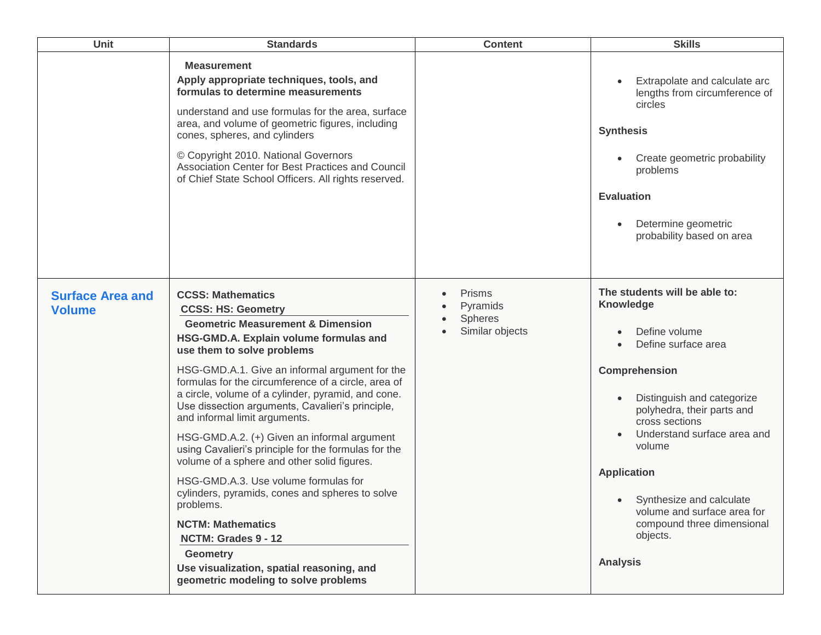| Unit                                     | <b>Standards</b>                                                                                                                                                                                                                                                                                                                                                                                                                                                                                                                                                                                                                                                                                                                                                                                                                                           | <b>Content</b>                                                 | <b>Skills</b>                                                                                                                                                                                                                                                                                                                                                                                                      |
|------------------------------------------|------------------------------------------------------------------------------------------------------------------------------------------------------------------------------------------------------------------------------------------------------------------------------------------------------------------------------------------------------------------------------------------------------------------------------------------------------------------------------------------------------------------------------------------------------------------------------------------------------------------------------------------------------------------------------------------------------------------------------------------------------------------------------------------------------------------------------------------------------------|----------------------------------------------------------------|--------------------------------------------------------------------------------------------------------------------------------------------------------------------------------------------------------------------------------------------------------------------------------------------------------------------------------------------------------------------------------------------------------------------|
|                                          | <b>Measurement</b><br>Apply appropriate techniques, tools, and<br>formulas to determine measurements<br>understand and use formulas for the area, surface<br>area, and volume of geometric figures, including<br>cones, spheres, and cylinders<br>© Copyright 2010. National Governors<br>Association Center for Best Practices and Council<br>of Chief State School Officers. All rights reserved.                                                                                                                                                                                                                                                                                                                                                                                                                                                        |                                                                | Extrapolate and calculate arc<br>$\bullet$<br>lengths from circumference of<br>circles<br><b>Synthesis</b><br>Create geometric probability<br>problems<br><b>Evaluation</b><br>Determine geometric<br>$\bullet$<br>probability based on area                                                                                                                                                                       |
| <b>Surface Area and</b><br><b>Volume</b> | <b>CCSS: Mathematics</b><br><b>CCSS: HS: Geometry</b><br><b>Geometric Measurement &amp; Dimension</b><br>HSG-GMD.A. Explain volume formulas and<br>use them to solve problems<br>HSG-GMD.A.1. Give an informal argument for the<br>formulas for the circumference of a circle, area of<br>a circle, volume of a cylinder, pyramid, and cone.<br>Use dissection arguments, Cavalieri's principle,<br>and informal limit arguments.<br>HSG-GMD.A.2. (+) Given an informal argument<br>using Cavalieri's principle for the formulas for the<br>volume of a sphere and other solid figures.<br>HSG-GMD.A.3. Use volume formulas for<br>cylinders, pyramids, cones and spheres to solve<br>problems.<br><b>NCTM: Mathematics</b><br>NCTM: Grades 9 - 12<br><b>Geometry</b><br>Use visualization, spatial reasoning, and<br>geometric modeling to solve problems | <b>Prisms</b><br>Pyramids<br><b>Spheres</b><br>Similar objects | The students will be able to:<br><b>Knowledge</b><br>Define volume<br>Define surface area<br>$\bullet$<br><b>Comprehension</b><br>Distinguish and categorize<br>$\bullet$<br>polyhedra, their parts and<br>cross sections<br>Understand surface area and<br>volume<br><b>Application</b><br>• Synthesize and calculate<br>volume and surface area for<br>compound three dimensional<br>objects.<br><b>Analysis</b> |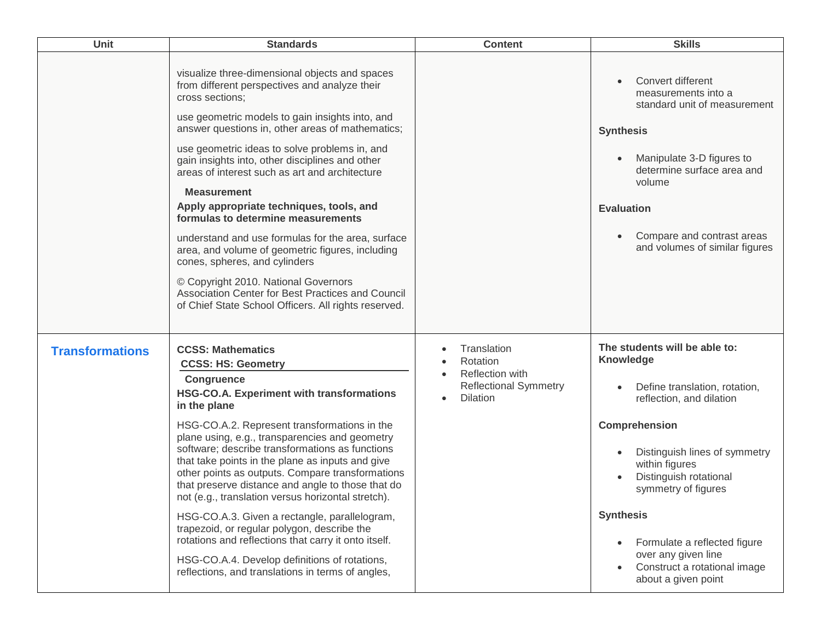| Unit                   | <b>Standards</b>                                                                                                                                                                                                                                                                                                                                                                                                                                                                                                                                                                                                                                                                                                                                                                       | <b>Content</b>                                                                                | <b>Skills</b>                                                                                                                                                                                                                                                                                                                                                                      |
|------------------------|----------------------------------------------------------------------------------------------------------------------------------------------------------------------------------------------------------------------------------------------------------------------------------------------------------------------------------------------------------------------------------------------------------------------------------------------------------------------------------------------------------------------------------------------------------------------------------------------------------------------------------------------------------------------------------------------------------------------------------------------------------------------------------------|-----------------------------------------------------------------------------------------------|------------------------------------------------------------------------------------------------------------------------------------------------------------------------------------------------------------------------------------------------------------------------------------------------------------------------------------------------------------------------------------|
|                        | visualize three-dimensional objects and spaces<br>from different perspectives and analyze their<br>cross sections;<br>use geometric models to gain insights into, and<br>answer questions in, other areas of mathematics;<br>use geometric ideas to solve problems in, and<br>gain insights into, other disciplines and other<br>areas of interest such as art and architecture<br><b>Measurement</b><br>Apply appropriate techniques, tools, and<br>formulas to determine measurements<br>understand and use formulas for the area, surface<br>area, and volume of geometric figures, including<br>cones, spheres, and cylinders<br>© Copyright 2010. National Governors<br>Association Center for Best Practices and Council<br>of Chief State School Officers. All rights reserved. |                                                                                               | Convert different<br>$\bullet$<br>measurements into a<br>standard unit of measurement<br><b>Synthesis</b><br>Manipulate 3-D figures to<br>determine surface area and<br>volume<br><b>Evaluation</b><br>Compare and contrast areas<br>$\bullet$<br>and volumes of similar figures                                                                                                   |
| <b>Transformations</b> | <b>CCSS: Mathematics</b><br><b>CCSS: HS: Geometry</b><br><b>Congruence</b><br><b>HSG-CO.A. Experiment with transformations</b><br>in the plane<br>HSG-CO.A.2. Represent transformations in the<br>plane using, e.g., transparencies and geometry<br>software; describe transformations as functions<br>that take points in the plane as inputs and give<br>other points as outputs. Compare transformations<br>that preserve distance and angle to those that do<br>not (e.g., translation versus horizontal stretch).<br>HSG-CO.A.3. Given a rectangle, parallelogram,<br>trapezoid, or regular polygon, describe the<br>rotations and reflections that carry it onto itself.<br>HSG-CO.A.4. Develop definitions of rotations,<br>reflections, and translations in terms of angles,   | Translation<br>Rotation<br>Reflection with<br><b>Reflectional Symmetry</b><br><b>Dilation</b> | The students will be able to:<br><b>Knowledge</b><br>Define translation, rotation,<br>$\bullet$<br>reflection, and dilation<br>Comprehension<br>Distinguish lines of symmetry<br>within figures<br>Distinguish rotational<br>symmetry of figures<br><b>Synthesis</b><br>Formulate a reflected figure<br>over any given line<br>Construct a rotational image<br>about a given point |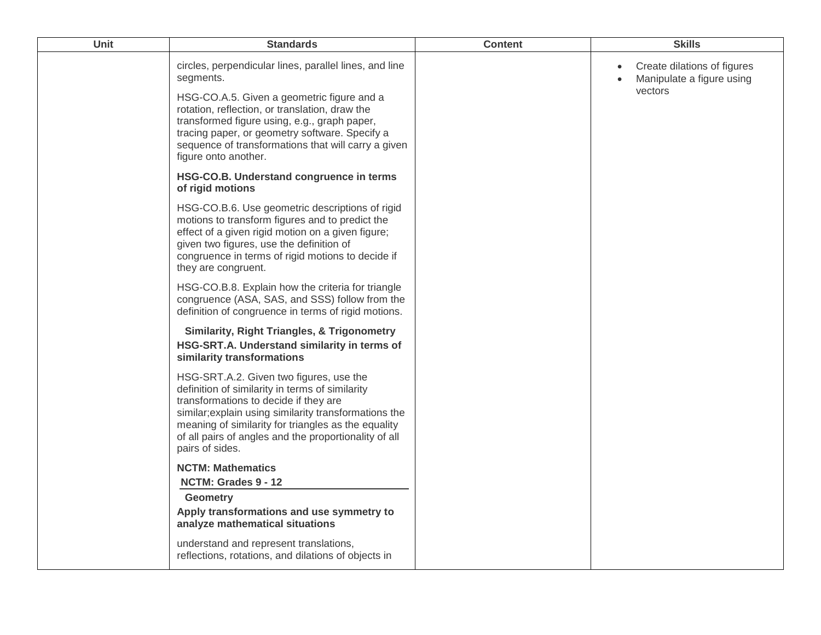| Unit | <b>Standards</b>                                                                                                                                                                                                                                                                                                                | <b>Content</b> | <b>Skills</b>                                                       |
|------|---------------------------------------------------------------------------------------------------------------------------------------------------------------------------------------------------------------------------------------------------------------------------------------------------------------------------------|----------------|---------------------------------------------------------------------|
|      | circles, perpendicular lines, parallel lines, and line<br>segments.                                                                                                                                                                                                                                                             |                | Create dilations of figures<br>Manipulate a figure using<br>vectors |
|      | HSG-CO.A.5. Given a geometric figure and a<br>rotation, reflection, or translation, draw the<br>transformed figure using, e.g., graph paper,<br>tracing paper, or geometry software. Specify a<br>sequence of transformations that will carry a given<br>figure onto another.                                                   |                |                                                                     |
|      | HSG-CO.B. Understand congruence in terms<br>of rigid motions                                                                                                                                                                                                                                                                    |                |                                                                     |
|      | HSG-CO.B.6. Use geometric descriptions of rigid<br>motions to transform figures and to predict the<br>effect of a given rigid motion on a given figure;<br>given two figures, use the definition of<br>congruence in terms of rigid motions to decide if<br>they are congruent.                                                 |                |                                                                     |
|      | HSG-CO.B.8. Explain how the criteria for triangle<br>congruence (ASA, SAS, and SSS) follow from the<br>definition of congruence in terms of rigid motions.                                                                                                                                                                      |                |                                                                     |
|      | <b>Similarity, Right Triangles, &amp; Trigonometry</b><br>HSG-SRT.A. Understand similarity in terms of<br>similarity transformations                                                                                                                                                                                            |                |                                                                     |
|      | HSG-SRT.A.2. Given two figures, use the<br>definition of similarity in terms of similarity<br>transformations to decide if they are<br>similar; explain using similarity transformations the<br>meaning of similarity for triangles as the equality<br>of all pairs of angles and the proportionality of all<br>pairs of sides. |                |                                                                     |
|      | <b>NCTM: Mathematics</b><br>NCTM: Grades 9 - 12                                                                                                                                                                                                                                                                                 |                |                                                                     |
|      | <b>Geometry</b><br>Apply transformations and use symmetry to<br>analyze mathematical situations                                                                                                                                                                                                                                 |                |                                                                     |
|      | understand and represent translations,<br>reflections, rotations, and dilations of objects in                                                                                                                                                                                                                                   |                |                                                                     |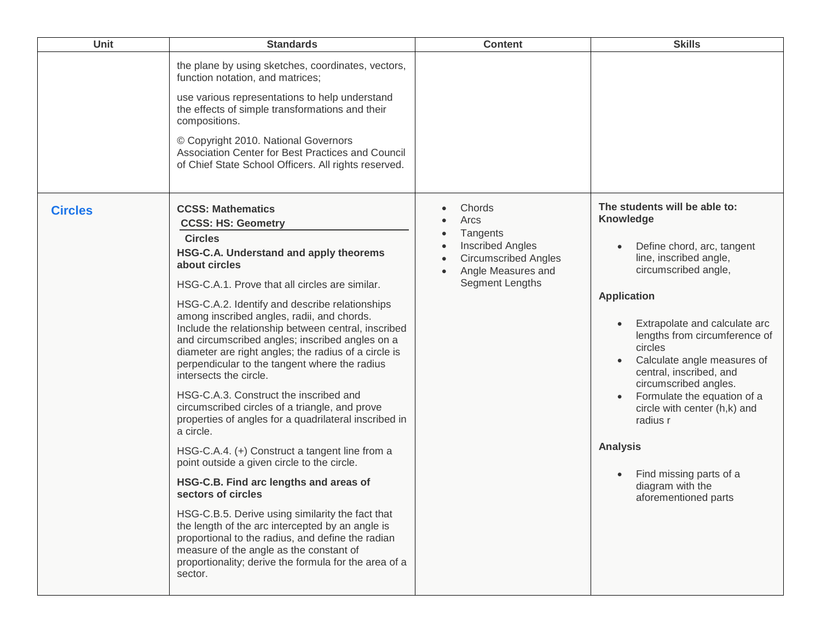| <b>Unit</b>    | <b>Standards</b>                                                                                                                                                                                                                                                                                                                                                                                                                                                                                                                                                                                                                                                                                                                                                                                                                                                                                                                                                                                                                                                                                                                                 | <b>Content</b>                                                                                                                                                       | <b>Skills</b>                                                                                                                                                                                                                                                                                                                                                                                                                                                                                                                             |
|----------------|--------------------------------------------------------------------------------------------------------------------------------------------------------------------------------------------------------------------------------------------------------------------------------------------------------------------------------------------------------------------------------------------------------------------------------------------------------------------------------------------------------------------------------------------------------------------------------------------------------------------------------------------------------------------------------------------------------------------------------------------------------------------------------------------------------------------------------------------------------------------------------------------------------------------------------------------------------------------------------------------------------------------------------------------------------------------------------------------------------------------------------------------------|----------------------------------------------------------------------------------------------------------------------------------------------------------------------|-------------------------------------------------------------------------------------------------------------------------------------------------------------------------------------------------------------------------------------------------------------------------------------------------------------------------------------------------------------------------------------------------------------------------------------------------------------------------------------------------------------------------------------------|
|                | the plane by using sketches, coordinates, vectors,<br>function notation, and matrices;<br>use various representations to help understand<br>the effects of simple transformations and their<br>compositions.<br>© Copyright 2010. National Governors<br>Association Center for Best Practices and Council<br>of Chief State School Officers. All rights reserved.                                                                                                                                                                                                                                                                                                                                                                                                                                                                                                                                                                                                                                                                                                                                                                                |                                                                                                                                                                      |                                                                                                                                                                                                                                                                                                                                                                                                                                                                                                                                           |
| <b>Circles</b> | <b>CCSS: Mathematics</b><br><b>CCSS: HS: Geometry</b><br><b>Circles</b><br>HSG-C.A. Understand and apply theorems<br>about circles<br>HSG-C.A.1. Prove that all circles are similar.<br>HSG-C.A.2. Identify and describe relationships<br>among inscribed angles, radii, and chords.<br>Include the relationship between central, inscribed<br>and circumscribed angles; inscribed angles on a<br>diameter are right angles; the radius of a circle is<br>perpendicular to the tangent where the radius<br>intersects the circle.<br>HSG-C.A.3. Construct the inscribed and<br>circumscribed circles of a triangle, and prove<br>properties of angles for a quadrilateral inscribed in<br>a circle.<br>HSG-C.A.4. (+) Construct a tangent line from a<br>point outside a given circle to the circle.<br>HSG-C.B. Find arc lengths and areas of<br>sectors of circles<br>HSG-C.B.5. Derive using similarity the fact that<br>the length of the arc intercepted by an angle is<br>proportional to the radius, and define the radian<br>measure of the angle as the constant of<br>proportionality; derive the formula for the area of a<br>sector. | Chords<br>$\bullet$<br>Arcs<br>$\bullet$<br>Tangents<br>$\bullet$<br><b>Inscribed Angles</b><br><b>Circumscribed Angles</b><br>Angle Measures and<br>Segment Lengths | The students will be able to:<br>Knowledge<br>Define chord, arc, tangent<br>$\bullet$<br>line, inscribed angle,<br>circumscribed angle,<br><b>Application</b><br>Extrapolate and calculate arc<br>$\bullet$<br>lengths from circumference of<br>circles<br>Calculate angle measures of<br>$\bullet$<br>central, inscribed, and<br>circumscribed angles.<br>Formulate the equation of a<br>circle with center (h,k) and<br>radius r<br><b>Analysis</b><br>Find missing parts of a<br>$\bullet$<br>diagram with the<br>aforementioned parts |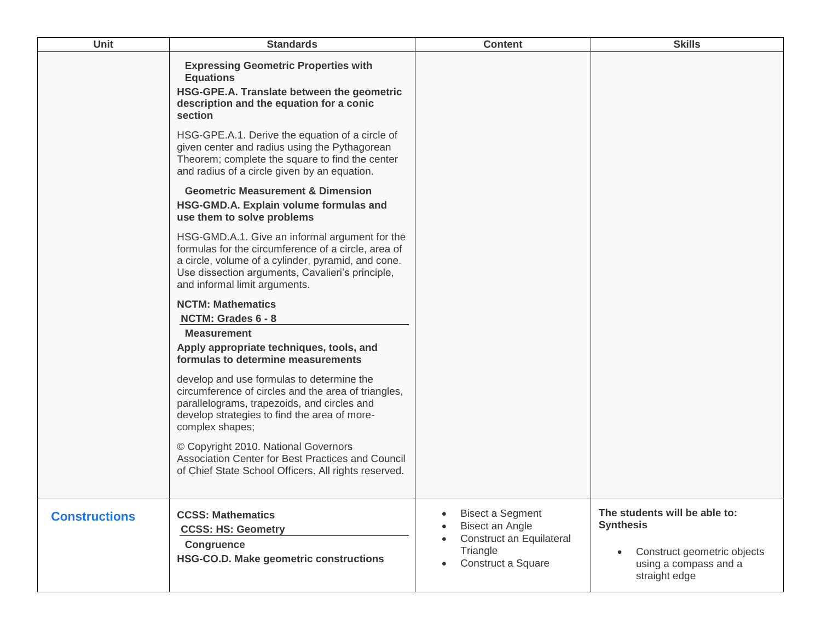| Unit                 | <b>Standards</b>                                                                                                                                                                                                                                 | <b>Content</b>                                                                                                        | <b>Skills</b>                                                                                                              |
|----------------------|--------------------------------------------------------------------------------------------------------------------------------------------------------------------------------------------------------------------------------------------------|-----------------------------------------------------------------------------------------------------------------------|----------------------------------------------------------------------------------------------------------------------------|
|                      | <b>Expressing Geometric Properties with</b><br><b>Equations</b><br>HSG-GPE.A. Translate between the geometric<br>description and the equation for a conic<br>section                                                                             |                                                                                                                       |                                                                                                                            |
|                      | HSG-GPE.A.1. Derive the equation of a circle of<br>given center and radius using the Pythagorean<br>Theorem; complete the square to find the center<br>and radius of a circle given by an equation.                                              |                                                                                                                       |                                                                                                                            |
|                      | <b>Geometric Measurement &amp; Dimension</b><br>HSG-GMD.A. Explain volume formulas and<br>use them to solve problems                                                                                                                             |                                                                                                                       |                                                                                                                            |
|                      | HSG-GMD.A.1. Give an informal argument for the<br>formulas for the circumference of a circle, area of<br>a circle, volume of a cylinder, pyramid, and cone.<br>Use dissection arguments, Cavalieri's principle,<br>and informal limit arguments. |                                                                                                                       |                                                                                                                            |
|                      | <b>NCTM: Mathematics</b><br>NCTM: Grades 6 - 8                                                                                                                                                                                                   |                                                                                                                       |                                                                                                                            |
|                      | <b>Measurement</b><br>Apply appropriate techniques, tools, and<br>formulas to determine measurements                                                                                                                                             |                                                                                                                       |                                                                                                                            |
|                      | develop and use formulas to determine the<br>circumference of circles and the area of triangles,<br>parallelograms, trapezoids, and circles and<br>develop strategies to find the area of more-<br>complex shapes;                               |                                                                                                                       |                                                                                                                            |
|                      | © Copyright 2010. National Governors<br>Association Center for Best Practices and Council<br>of Chief State School Officers. All rights reserved.                                                                                                |                                                                                                                       |                                                                                                                            |
| <b>Constructions</b> | <b>CCSS: Mathematics</b><br><b>CCSS: HS: Geometry</b>                                                                                                                                                                                            | <b>Bisect a Segment</b><br>$\bullet$<br>Bisect an Angle<br>Construct an Equilateral<br>Triangle<br>Construct a Square | The students will be able to:<br><b>Synthesis</b><br>Construct geometric objects<br>using a compass and a<br>straight edge |
|                      | <b>Congruence</b><br>HSG-CO.D. Make geometric constructions                                                                                                                                                                                      |                                                                                                                       |                                                                                                                            |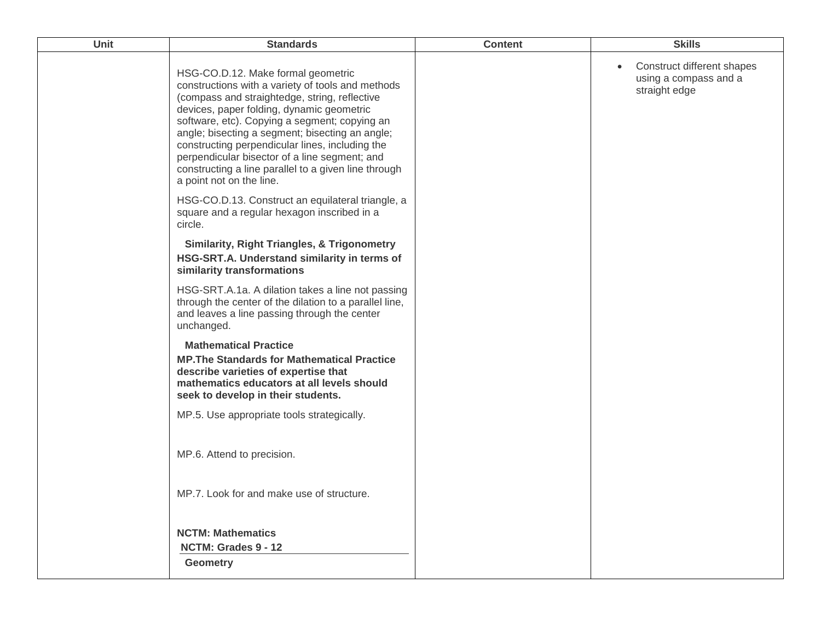| Unit | <b>Standards</b>                                                                                                                                                                                                                                                                                                                                                                                                                                                                  | <b>Content</b> | <b>Skills</b>                                                                     |
|------|-----------------------------------------------------------------------------------------------------------------------------------------------------------------------------------------------------------------------------------------------------------------------------------------------------------------------------------------------------------------------------------------------------------------------------------------------------------------------------------|----------------|-----------------------------------------------------------------------------------|
|      | HSG-CO.D.12. Make formal geometric<br>constructions with a variety of tools and methods<br>(compass and straightedge, string, reflective<br>devices, paper folding, dynamic geometric<br>software, etc). Copying a segment; copying an<br>angle; bisecting a segment; bisecting an angle;<br>constructing perpendicular lines, including the<br>perpendicular bisector of a line segment; and<br>constructing a line parallel to a given line through<br>a point not on the line. |                | Construct different shapes<br>$\bullet$<br>using a compass and a<br>straight edge |
|      | HSG-CO.D.13. Construct an equilateral triangle, a<br>square and a regular hexagon inscribed in a<br>circle.                                                                                                                                                                                                                                                                                                                                                                       |                |                                                                                   |
|      | <b>Similarity, Right Triangles, &amp; Trigonometry</b><br>HSG-SRT.A. Understand similarity in terms of<br>similarity transformations                                                                                                                                                                                                                                                                                                                                              |                |                                                                                   |
|      | HSG-SRT.A.1a. A dilation takes a line not passing<br>through the center of the dilation to a parallel line,<br>and leaves a line passing through the center<br>unchanged.                                                                                                                                                                                                                                                                                                         |                |                                                                                   |
|      | <b>Mathematical Practice</b><br><b>MP. The Standards for Mathematical Practice</b><br>describe varieties of expertise that<br>mathematics educators at all levels should<br>seek to develop in their students.                                                                                                                                                                                                                                                                    |                |                                                                                   |
|      | MP.5. Use appropriate tools strategically.                                                                                                                                                                                                                                                                                                                                                                                                                                        |                |                                                                                   |
|      | MP.6. Attend to precision.                                                                                                                                                                                                                                                                                                                                                                                                                                                        |                |                                                                                   |
|      | MP.7. Look for and make use of structure.                                                                                                                                                                                                                                                                                                                                                                                                                                         |                |                                                                                   |
|      | <b>NCTM: Mathematics</b><br>NCTM: Grades 9 - 12<br><b>Geometry</b>                                                                                                                                                                                                                                                                                                                                                                                                                |                |                                                                                   |